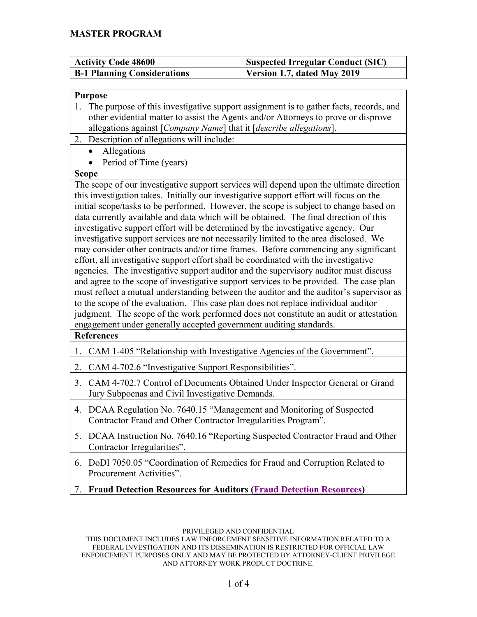| Activity Code 48600                | <b>Suspected Irregular Conduct (SIC)</b> |
|------------------------------------|------------------------------------------|
| <b>B-1 Planning Considerations</b> | Version 1.7, dated May 2019              |

| Purpose |                              |  |  |  |
|---------|------------------------------|--|--|--|
|         | 1. The purpose of this inves |  |  |  |
|         | other evidential matter to   |  |  |  |
|         |                              |  |  |  |

- stigative support assignment is to gather facts, records, and o assist the Agents and/or Attorneys to prove or disprove allegations against [*Company Name*] that it [*describe allegations*].
- 2. Description of allegations will include:
	- Allegations
		- Period of Time (years)

## **Scope**

The scope of our investigative support services will depend upon the ultimate direction this investigation takes. Initially our investigative support effort will focus on the initial scope/tasks to be performed. However, the scope is subject to change based on data currently available and data which will be obtained. The final direction of this investigative support effort will be determined by the investigative agency. Our investigative support services are not necessarily limited to the area disclosed. We may consider other contracts and/or time frames. Before commencing any significant effort, all investigative support effort shall be coordinated with the investigative agencies. The investigative support auditor and the supervisory auditor must discuss and agree to the scope of investigative support services to be provided. The case plan must reflect a mutual understanding between the auditor and the auditor's supervisor as to the scope of the evaluation. This case plan does not replace individual auditor judgment. The scope of the work performed does not constitute an audit or attestation engagement under generally accepted government auditing standards.

# **References**

- 1. CAM 1-405 "Relationship with Investigative Agencies of the Government".
- 2. CAM 4-702.6 "Investigative Support Responsibilities".
- 3. CAM 4-702.7 Control of Documents Obtained Under Inspector General or Grand Jury Subpoenas and Civil Investigative Demands.
- 4. DCAA Regulation No. 7640.15 "Management and Monitoring of Suspected Contractor Fraud and Other Contractor Irregularities Program".
- 5. DCAA Instruction No. 7640.16 "Reporting Suspected Contractor Fraud and Other Contractor Irregularities".
- 6. DoDI 7050.05 "Coordination of Remedies for Fraud and Corruption Related to Procurement Activities".
- 7. **Fraud Detection Resources for Auditors [\(Fraud Detection Resources\)](http://www.dodig.mil/Resources/Fraud-Detection-Resources/)**

## PRIVILEGED AND CONFIDENTIAL

THIS DOCUMENT INCLUDES LAW ENFORCEMENT SENSITIVE INFORMATION RELATED TO A FEDERAL INVESTIGATION AND ITS DISSEMINATION IS RESTRICTED FOR OFFICIAL LAW ENFORCEMENT PURPOSES ONLY AND MAY BE PROTECTED BY ATTORNEY-CLIENT PRIVILEGE AND ATTORNEY WORK PRODUCT DOCTRINE.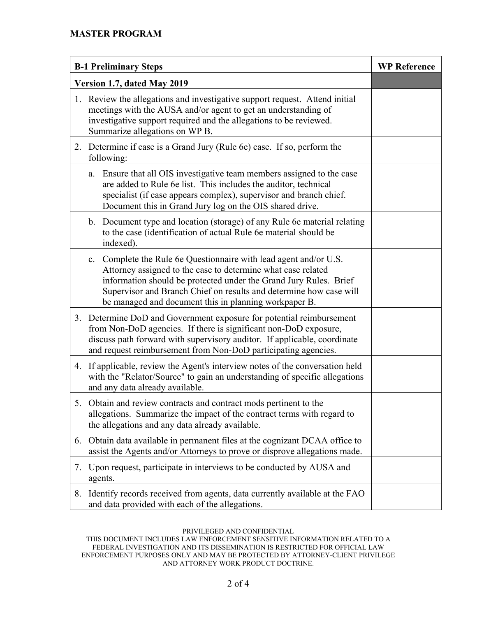| <b>B-1 Preliminary Steps</b> |                                                                                                                                                                                                                                                                                                                                          | <b>WP Reference</b> |
|------------------------------|------------------------------------------------------------------------------------------------------------------------------------------------------------------------------------------------------------------------------------------------------------------------------------------------------------------------------------------|---------------------|
|                              | Version 1.7, dated May 2019                                                                                                                                                                                                                                                                                                              |                     |
|                              | 1. Review the allegations and investigative support request. Attend initial<br>meetings with the AUSA and/or agent to get an understanding of<br>investigative support required and the allegations to be reviewed.<br>Summarize allegations on WP B.                                                                                    |                     |
|                              | 2. Determine if case is a Grand Jury (Rule 6e) case. If so, perform the<br>following:                                                                                                                                                                                                                                                    |                     |
|                              | Ensure that all OIS investigative team members assigned to the case<br>a.<br>are added to Rule 6e list. This includes the auditor, technical<br>specialist (if case appears complex), supervisor and branch chief.<br>Document this in Grand Jury log on the OIS shared drive.                                                           |                     |
|                              | b. Document type and location (storage) of any Rule 6e material relating<br>to the case (identification of actual Rule 6e material should be<br>indexed).                                                                                                                                                                                |                     |
|                              | Complete the Rule 6e Questionnaire with lead agent and/or U.S.<br>c.<br>Attorney assigned to the case to determine what case related<br>information should be protected under the Grand Jury Rules. Brief<br>Supervisor and Branch Chief on results and determine how case will<br>be managed and document this in planning workpaper B. |                     |
|                              | 3. Determine DoD and Government exposure for potential reimbursement<br>from Non-DoD agencies. If there is significant non-DoD exposure,<br>discuss path forward with supervisory auditor. If applicable, coordinate<br>and request reimbursement from Non-DoD participating agencies.                                                   |                     |
|                              | 4. If applicable, review the Agent's interview notes of the conversation held<br>with the "Relator/Source" to gain an understanding of specific allegations<br>and any data already available.                                                                                                                                           |                     |
|                              | 5. Obtain and review contracts and contract mods pertinent to the<br>allegations. Summarize the impact of the contract terms with regard to<br>the allegations and any data already available.                                                                                                                                           |                     |
| 6.                           | Obtain data available in permanent files at the cognizant DCAA office to<br>assist the Agents and/or Attorneys to prove or disprove allegations made.                                                                                                                                                                                    |                     |
| 7.                           | Upon request, participate in interviews to be conducted by AUSA and<br>agents.                                                                                                                                                                                                                                                           |                     |
| 8.                           | Identify records received from agents, data currently available at the FAO<br>and data provided with each of the allegations.                                                                                                                                                                                                            |                     |

### PRIVILEGED AND CONFIDENTIAL

THIS DOCUMENT INCLUDES LAW ENFORCEMENT SENSITIVE INFORMATION RELATED TO A FEDERAL INVESTIGATION AND ITS DISSEMINATION IS RESTRICTED FOR OFFICIAL LAW ENFORCEMENT PURPOSES ONLY AND MAY BE PROTECTED BY ATTORNEY-CLIENT PRIVILEGE AND ATTORNEY WORK PRODUCT DOCTRINE.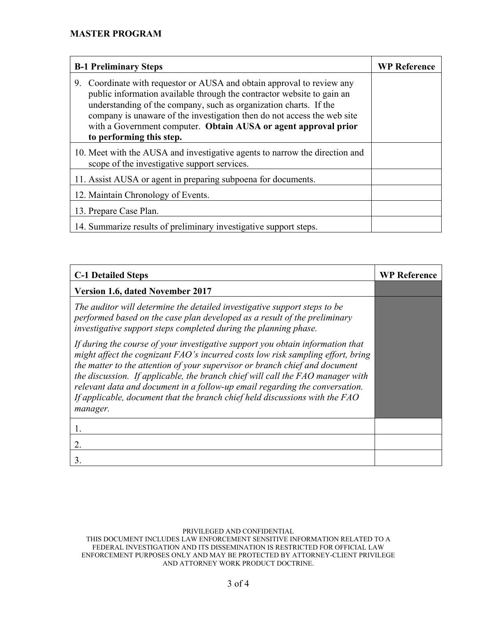| <b>B-1 Preliminary Steps</b>                                                                                                                                                                                                                                                                                                                                                                       | <b>WP Reference</b> |
|----------------------------------------------------------------------------------------------------------------------------------------------------------------------------------------------------------------------------------------------------------------------------------------------------------------------------------------------------------------------------------------------------|---------------------|
| Coordinate with requestor or AUSA and obtain approval to review any<br>9.<br>public information available through the contractor website to gain an<br>understanding of the company, such as organization charts. If the<br>company is unaware of the investigation then do not access the web site<br>with a Government computer. Obtain AUSA or agent approval prior<br>to performing this step. |                     |
| 10. Meet with the AUSA and investigative agents to narrow the direction and<br>scope of the investigative support services.                                                                                                                                                                                                                                                                        |                     |
| 11. Assist AUSA or agent in preparing subpoena for documents.                                                                                                                                                                                                                                                                                                                                      |                     |
| 12. Maintain Chronology of Events.                                                                                                                                                                                                                                                                                                                                                                 |                     |
| 13. Prepare Case Plan.                                                                                                                                                                                                                                                                                                                                                                             |                     |
| 14. Summarize results of preliminary investigative support steps.                                                                                                                                                                                                                                                                                                                                  |                     |

| <b>C-1 Detailed Steps</b>                                                                                                                                                                                                                                                                                                                                                                                                                                                                                    | <b>WP Reference</b> |
|--------------------------------------------------------------------------------------------------------------------------------------------------------------------------------------------------------------------------------------------------------------------------------------------------------------------------------------------------------------------------------------------------------------------------------------------------------------------------------------------------------------|---------------------|
| <b>Version 1.6, dated November 2017</b>                                                                                                                                                                                                                                                                                                                                                                                                                                                                      |                     |
| The auditor will determine the detailed investigative support steps to be<br>performed based on the case plan developed as a result of the preliminary<br>investigative support steps completed during the planning phase.                                                                                                                                                                                                                                                                                   |                     |
| If during the course of your investigative support you obtain information that<br>might affect the cognizant FAO's incurred costs low risk sampling effort, bring<br>the matter to the attention of your supervisor or branch chief and document<br>the discussion. If applicable, the branch chief will call the FAO manager with<br>relevant data and document in a follow-up email regarding the conversation.<br>If applicable, document that the branch chief held discussions with the FAO<br>manager. |                     |
| 1.                                                                                                                                                                                                                                                                                                                                                                                                                                                                                                           |                     |
| 2.                                                                                                                                                                                                                                                                                                                                                                                                                                                                                                           |                     |
| 3.                                                                                                                                                                                                                                                                                                                                                                                                                                                                                                           |                     |

### PRIVILEGED AND CONFIDENTIAL

THIS DOCUMENT INCLUDES LAW ENFORCEMENT SENSITIVE INFORMATION RELATED TO A FEDERAL INVESTIGATION AND ITS DISSEMINATION IS RESTRICTED FOR OFFICIAL LAW ENFORCEMENT PURPOSES ONLY AND MAY BE PROTECTED BY ATTORNEY-CLIENT PRIVILEGE AND ATTORNEY WORK PRODUCT DOCTRINE.